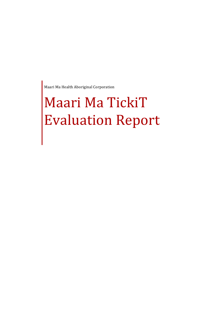Maari Ma Health Aboriginal Corporation

# Maari Ma TickiT **Evaluation Report**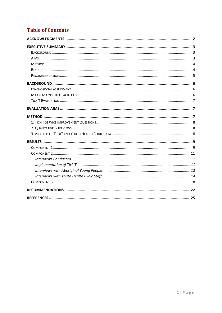# **Table of Contents**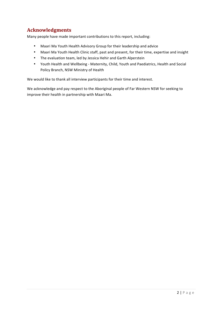## **Acknowledgments**

Many people have made important contributions to this report, including:

- Maari Ma Youth Health Advisory Group for their leadership and advice
- Maari Ma Youth Health Clinic staff, past and present, for their time, expertise and insight
- The evaluation team, led by Jessica Hehir and Garth Alperstein
- Youth Health and Wellbeing Maternity, Child, Youth and Paediatrics, Health and Social Policy Branch, NSW Ministry of Health

We would like to thank all interview participants for their time and interest.

We acknowledge and pay respect to the Aboriginal people of Far Western NSW for seeking to improve their health in partnership with Maari Ma.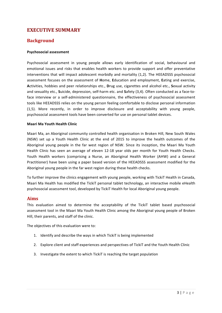## **EXECUTIVE SUMMARY**

## **Background**

#### **Psychosocial assessment**

Psychosocial assessment in young people allows early identification of social, behavioural and emotional issues and risks that enables health workers to provide support and offer preventative interventions that will impact adolescent morbidly and mortality (1,2). The HEEADSSS psychosocial assessment focuses on the assessment of **H**ome, **Education** and employment. **Eating** and exercise, Activities, hobbies and peer relationships etc., Drug use, cigarettes and alcohol etc., Sexual activity and sexuality etc., Suicide, depression, self-harm etc. and Safety (3,4). Often conducted as a face-toface interview or a self-administered questionnaire, the effectiveness of psychosocial assessment tools like HEEADSSS relies on the young person feeling comfortable to disclose personal information  $(1,5)$ . More recently, in order to improve disclosure and acceptability with young people, psychosocial assessment tools have been converted for use on personal tablet devices.

#### **Maari Ma Youth Health Clinic**

Maari Ma, an Aboriginal community controlled health organisation in Broken Hill, New South Wales (NSW) set up a Youth Health Clinic at the end of 2015 to improve the health outcomes of the Aboriginal young people in the far west region of NSW. Since its inception, the Maari Ma Youth Health Clinic has seen an average of eleven 12-18 year olds per month for Youth Health Checks. Youth Health workers (comprising a Nurse, an Aboriginal Health Worker (AHW) and a General Practitioner) have been using a paper based version of the HEEADSSS assessment modified for the Aboriginal young people in the far west region during these health checks.

To further improve the clinics engagement with young people, working with TickiT Health in Canada, Maari Ma Health has modified the TickiT personal tablet technology, an interactive mobile eHealth psychosocial assessment tool, developed by TickiT Health for local Aboriginal young people.

#### **Aims**

This evaluation aimed to determine the acceptability of the TickiT tablet based psychosocial assessment tool in the Maari Ma Youth Health Clinic among the Aboriginal young people of Broken Hill, their parents, and staff of the clinic.

The objectives of this evaluation were to:

- 1. Identify and describe the ways in which TickiT is being implemented
- 2. Explore client and staff experiences and perspectives of TickiT and the Youth Health Clinic
- 3. Investigate the extent to which TickiT is reaching the target population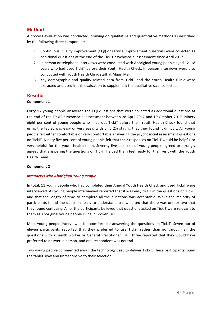## **Method**

A process evaluation was conducted, drawing on qualitative and quantitative methods as described by the following three components:

- 1. Continuous Quality Improvement (CQI) or service improvement questions were collected as additional questions at the end of the TickiT psychosocial assessment since April 2017.
- 2. In person or telephone interviews were conducted with Aboriginal young people aged 12-18 vears who had used TickiT before their Youth Health Check. In person interviews were also conducted with Youth Health Clinic staff at Maari Ma.
- 3. Key demographic and quality related data from TickiT and the Youth Health Clinic were extracted and used in this evaluation to supplement the qualitative data collected.

## **Results**

#### **Component 1**

Forty six young people answered the CQI questions that were collected as additional questions at the end of the TickiT psychosocial assessment between 28 April 2017 and 10 October 2017. Ninety eight per cent of young people who filled out TickiT before their Youth Health Check found that using the tablet was easy or very easy, with only 2% stating that they found it difficult. All young people felt either comfortable or very comfortable answering the psychosocial assessment questions on TickiT. Ninety five per cent of young people felt that their responses on TickiT would be helpful or very helpful for the youth health team. Seventy five per cent of young people agreed or strongly agreed that answering the questions on TickiT helped them feel ready for their visit with the Youth Health Team.

#### **Component 2**

#### **Interviews with Aboriginal Young People**

In total, 11 young people who had completed their Annual Youth Health Check and used TickiT were interviewed. All young people interviewed reported that it was easy to fill in the questions on TickiT and that the length of time to complete all the questions was acceptable. While the majority of participants found the questions easy to understand, a few stated that there was one or two that they found confusing. All of the participants believed that questions asked on TickiT were relevant to them as Aboriginal young people living in Broken Hill.

Most young people interviewed felt comfortable answering the questions on TickiT. Seven out of eleven participants reported that they preferred to use TickiT rather than go through all the questions with a health worker or General Practitioner (GP), three reported that they would have preferred to answer in person, and one respondent was neutral.

Two young people commented about the technology used to deliver TickiT. These participants found the tablet slow and unresponsive to their selection.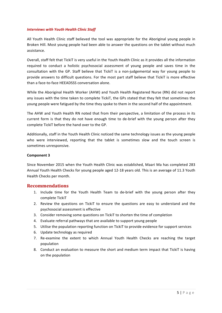#### **Interviews with Youth Health Clinic Staff**

All Youth Health Clinic staff believed the tool was appropriate for the Aboriginal young people in Broken Hill. Most young people had been able to answer the questions on the tablet without much assistance.

Overall, staff felt that TickiT is very useful in the Youth Health Clinic as it provides all the information required to conduct a holistic psychosocial assessment of young people and saves time in the consultation with the GP. Staff believe that TickiT is a non-judgemental way for young people to provide answers to difficult questions. For the most part staff believe that TickiT is more effective than a face-to-face HEEADSSS conversation alone.

While the Aboriginal Health Worker (AHW) and Youth Health Registered Nurse (RN) did not report any issues with the time taken to complete TickiT, the GPs stated that they felt that sometimes the young people were fatigued by the time they spoke to them in the second half of the appointment.

The AHW and Youth Health RN noted that from their perspective, a limitation of the process in its current form is that they do not have enough time to de-brief with the young person after they complete TickiT before the hand over to the GP.

Additionally, staff in the Youth Health Clinic noticed the same technology issues as the young people who were interviewed, reporting that the tablet is sometimes slow and the touch screen is sometimes unresponsive.

#### **Component 3**

Since November 2015 when the Youth Health Clinic was established, Maari Ma has completed 283 Annual Youth Health Checks for young people aged 12-18 years old. This is an average of 11.3 Youth Health Checks per month.

## **Recommendations**

- 1. Include time for the Youth Health Team to de-brief with the young person after they complete TickiT
- 2. Review the questions on TickiT to ensure the questions are easy to understand and the psychosocial assessment is effective
- 3. Consider removing some questions on TickiT to shorten the time of completion
- 4. Evaluate referral pathways that are available to support young people
- 5. Utilise the population reporting function on TickiT to provide evidence for support services
- 6. Update technology as required
- 7. Re-examine the extent to which Annual Youth Health Checks are reaching the target population
- 8. Conduct an evaluation to measure the short and medium term impact that TickiT is having on the population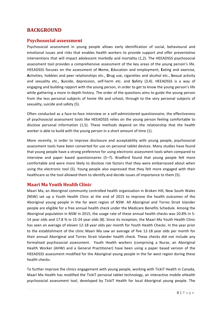## **BACKGROUND**

#### **Psychosocial assessment**

Psychosocial assessment in young people allows early identification of social, behavioural and emotional issues and risks that enables health workers to provide support and offer preventative interventions that will impact adolescent morbidly and mortality (1,2). The HEEADSSS psychosocial assessment tool provides a comprehensive assessment of the key areas of the young person's life. HEEADSSS focuses on the assessment of **Home, Education and employment, Eating and exercise, Activities, hobbies and peer relationships etc., Drug use, cigarettes and alcohol etc., Sexual activity** and sexuality etc., Suicide, depression, self-harm etc. and Safety (3,4). HEEADSSS is a way of engaging and building rapport with the young person, in order to get to know the young person's life while gathering a more in-depth history. The order of the questions aims to guide the young person from the less personal subjects of home life and school, through to the very personal subjects of sexuality, suicide and safety (5).

Often conducted as a face-to-face interview or a self-administered questionnaire, the effectiveness of psychosocial assessment tools like HEEADSSS relies on the young person feeling comfortable to disclose personal information  $(1,5)$ . These methods depend on the relationship that the health worker is able to build with the young person in a short amount of time (1).

More recently, in order to improve disclosure and acceptability with young people, psychosocial assessment tools have been converted for use on personal tablet devices. Many studies have found that young people have a strong preference for using electronic assessment tools when compared to interview and paper based questionnaires (5-7). Bradford found that young people felt more comfortable and were more likely to disclose risk factors that they were embarrassed about when using the electronic tool (5). Young people also expressed that they felt more engaged with their healthcare as the tool allowed them to identify and decide issues of importance to them (5).

## **Maari Ma Youth Health Clinic**

Maari Ma, an Aboriginal community controlled health organisation in Broken Hill, New South Wales (NSW) set up a Youth Health Clinic at the end of 2015 to improve the health outcomes of the Aboriginal young people in the far west region of NSW. All Aboriginal and Torres Strait Islander people are eligible for a free annual health check under the Medicare Benefits Schedule. Among the Aboriginal population in NSW in 2015, the usage rate of these annual health checks was 20.8% in 5-14 year olds and 17.8 % in 15-24 year olds (8). Since its inception, the Maari Ma Youth Health Clinic has seen an average of eleven 12-18 year olds per month for Youth Health Checks. In the year prior to the establishment of the clinic Maari Ma saw an average of five 12-18 year olds per month for their annual Aboriginal and Torres Strait Islander health check. These checks did not include any formalised psychosocial assessment. Youth Health workers (comprising a Nurse, an Aboriginal Health Worker (AHW) and a General Practitioner) have been using a paper based version of the HEEADSSS assessment modified for the Aboriginal young people in the far west region during these health checks.

To further improve the clinics engagement with young people, working with TickiT Health in Canada, Maari Ma Health has modified the TickiT personal tablet technology, an interactive mobile eHealth psychosocial assessment tool, developed by TickiT Health for local Aboriginal young people. The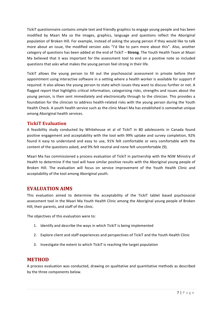TickiT questionnaire contains simple text and friendly graphics to engage young people and has been modified by Maari Ma so the images, graphics, language and questions reflect the Aboriginal population of Broken Hill. For example, instead of asking the young person if they would like to talk more about an issue, the modified version asks "I'd like to yarn more about this". Also, another category of questions has been added at the end of TickiT - Strong. The Youth Health Team at Maari Ma believed that it was important for the assessment tool to end on a positive note so included questions that asks what makes the young person feel strong in their life.

TickiT allows the young person to fill out the psychosocial assessment in private before their appointment using interactive software in a setting where a health worker is available for support if required. It also allows the young person to state which issues they want to discuss further or not. A flagged report that highlights critical information, categorising risks, strengths and issues about the young person, is then sent immediately and electronically through to the clinician. This provides a foundation for the clinician to address health-related risks with the young person during the Youth Health Check. A youth health service such as the clinic Maari Ma has established is somewhat unique among Aboriginal health services.

## **TickiT Evaluation**

A feasibility study conducted by Whitehouse et al of TickiT in 80 adolescents in Canada found positive engagement and acceptability with the tool with 99% uptake and survey completion, 92% found it easy to understand and easy to use, 91% felt comfortable or very comfortable with the content of the questions asked, and 9% felt neutral and none felt uncomfortable (9).

Maari Ma has commissioned a process evaluation of TickiT in partnership with the NSW Ministry of Health to determine if the tool will have similar positive results with the Aboriginal young people of Broken Hill. The evaluation will focus on service improvement of the Youth Health Clinic and acceptability of the tool among Aboriginal youth.

## **EVALUATION AIMS**

This evaluation aimed to determine the acceptability of the TickiT tablet based psychosocial assessment tool in the Maari Ma Youth Health Clinic among the Aboriginal young people of Broken Hill, their parents, and staff of the clinic.

The objectives of this evaluation were to:

- 1. Identify and describe the ways in which TickiT is being implemented
- 2. Explore client and staff experiences and perspectives of TickiT and the Youth Health Clinic
- 3. Investigate the extent to which TickiT is reaching the target population

#### **METHOD**

A process evaluation was conducted, drawing on qualitative and quantitative methods as described by the three components below.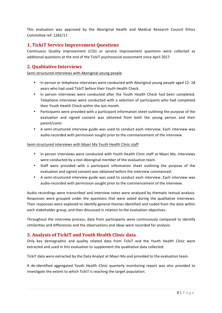This evaluation was approved by the Aboriginal Health and Medical Research Council Ethics Committee ref: 1282/17.

## **1. TickiT Service Improvement Questions**

Continuous Quality Improvement (CQI) or service improvement questions were collected as additional questions at the end of the TickiT psychosocial assessment since April 2017.

## **2. Qualitative Interviews**

Semi-structured interviews with Aboriginal young people

- In person or telephone interviews were conducted with Aboriginal young people aged 12-18 years who had used TickiT before their Youth Health Check.
- In person interviews were conducted after the Youth Health Check had been completed. Telephone interviews were conducted with a selection of participants who had completed their Youth Health Check within the last month.
- Participants were provided with a participant information sheet outlining the purpose of the evaluation and signed consent was obtained from both the young person and their parent/carer.
- A semi-structured interview guide was used to conduct each interview. Each interview was audio-recorded with permission sought prior to the commencement of the interview.

#### Semi-structured interviews with Maari Ma Youth Health Clinic staff

- In person interviews were conducted with Youth Health Clinic staff at Maari Ma. Interviews were conducted by a non-Aboriginal member of the evaluation team.
- Staff were provided with a participant information sheet outlining the purpose of the evaluation and signed consent was obtained before the interview commenced.
- A semi-structured interview guide was used to conduct each interview. Each interview was audio-recorded with permission sought prior to the commencement of the interview.

Audio recordings were transcribed and interview notes were analysed by thematic textual analysis. Responses were grouped under the questions that were asked during the qualitative interviews. Then responses were explored to identify general themes identified and coded from the data within each stakeholder group, and then discussed in relation to the evaluation objectives.

Throughout the interview process, data from participants were continuously compared to identify similarities and differences and the observations and ideas were recorded for analysis.

## **3. Analysis of TickiT and Youth Health Clinic data**

Only key demographic and quality related data from TickiT and the Youth Health Clinic were extracted and used in this evaluation to supplement the qualitative data collected.

TickiT data were extracted by the Data Analyst at Maari Ma and provided to the evaluation team.

A de-identified aggregated Youth Health Clinic quarterly monitoring report was also provided to investigate the extent to which TickiT is reaching the target population.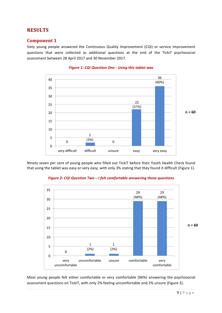## **RESULTS**

## **Component 1**

Sixty young people answered the Continuous Quality Improvement (CQI) or service improvement questions that were collected as additional questions at the end of the TickiT psychosocial assessment between 28 April 2017 and 30 November 2017.



#### *Figure 1: CQI Question One - Using this tablet was*

Ninety seven per cent of young people who filled out TickiT before their Youth Health Check found that using the tablet was easy or very easy, with only 3% stating that they found it difficult (Figure 1).



*Figure 2: CQI Question Two - I felt comfortable answering those questions* 

Most young people felt either comfortable or very comfortable (96%) answering the psychosocial assessment questions on TickiT, with only 2% feeling uncomfortable and 2% unsure (Figure 2).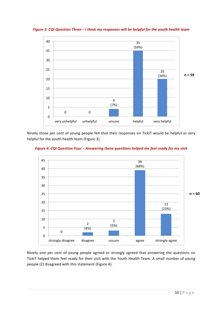

*Figure 3: CQI Question Three - I think my responses will be helpful for the youth health team* 

Ninety three per cent of young people felt that their responses on TickiT would be helpful or very helpful for the youth health team (Figure 3).





Ninety one per cent of young people agreed or strongly agreed that answering the questions on TickiT helped them feel ready for their visit with the Youth Health Team. A small number of young people (2) disagreed with this statement (Figure 4).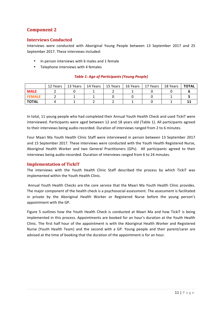## **Component 2**

#### **Interviews Conducted**

Interviews were conducted with Aboriginal Young People between 13 September 2017 and 25 September 2017. These interviews included:

- In person interviews with 6 males and 1 female
- Telephone interviews with 4 females

|               | 12 Years | 13 Years | 14 Years | 15 Years | 16 Years | 17 Years | 18 Years | <b>TOTAL</b> |
|---------------|----------|----------|----------|----------|----------|----------|----------|--------------|
| <b>MALE</b>   |          |          |          |          |          |          |          |              |
| <b>FEMALE</b> |          |          |          |          |          |          |          |              |
| <b>TOTAL</b>  |          |          |          |          |          |          |          |              |

#### *Table 1: Age of Participants (Young People)*

In total, 11 young people who had completed their Annual Youth Health Check and used TickiT were interviewed. Participants were aged between 12 and 18 years old (Table 1). All participants agreed to their interviews being audio-recorded. Duration of interviews ranged from 2 to 6 minutes.

Four Maari Ma Youth Health Clinic Staff were interviewed in person between 13 September 2017 and 15 September 2017. These interviews were conducted with the Youth Health Registered Nurse, Aboriginal Health Worker and two General Practitioners (GPs). All participants agreed to their interviews being audio-recorded. Duration of interviews ranged from 6 to 24 minutes.

#### **Implementation of TickiT**

The interviews with the Youth Health Clinic Staff described the process by which TickiT was implemented within the Youth Health Clinic.

Annual Youth Health Checks are the core service that the Maari Ma Youth Health Clinic provides. The major component of the health check is a psychosocial assessment. The assessment is facilitated in private by the Aboriginal Health Worker or Registered Nurse before the young person's appointment with the GP.

Figure 5 outlines how the Youth Health Check is conducted at Maari Ma and how TickiT is being implemented in this process. Appointments are booked for an hour's duration at the Youth Health Clinic. The first half hour of the appointment is with the Aboriginal Health Worker and Registered Nurse (Youth Health Team) and the second with a GP. Young people and their parent/carer are advised at the time of booking that the duration of the appointment is for an hour.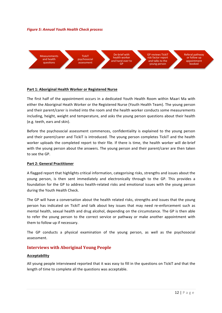#### **Figure 5: Annual Youth Health Check process**



#### Part 1: Aboriginal Health Worker or Registered Nurse

The first half of the appointment occurs in a dedicated Youth Health Room within Maari Ma with either the Aboriginal Heath Worker or the Registered Nurse (Youth Health Team). The young person and their parent/carer is invited into the room and the health worker conducts some measurements including, height, weight and temperature, and asks the young person questions about their health (e.g. teeth, ears and skin).

Before the psychosocial assessment commences, confidentiality is explained to the young person and their parent/carer and TickiT is introduced. The young person completes TickiT and the health worker uploads the completed report to their file. If there is time, the health worker will de-brief with the young person about the answers. The young person and their parent/carer are then taken to see the GP.

#### **Part 2: General Practitioner**

A flagged report that highlights critical information, categorising risks, strengths and issues about the young person, is then sent immediately and electronically through to the GP. This provides a foundation for the GP to address health-related risks and emotional issues with the young person during the Youth Health Check.

The GP will have a conversation about the health related risks, strengths and issues that the young person has indicated on TickiT and talk about key issues that may need re-enforcement such as mental health, sexual health and drug alcohol, depending on the circumstance. The GP is then able to refer the young person to the correct service or pathway or make another appointment with them to follow up if necessary.

The GP conducts a physical examination of the young person, as well as the psychosocial assessment.

#### **Interviews with Aboriginal Young People**

#### **Acceptability**

All young people interviewed reported that it was easy to fill in the questions on TickiT and that the length of time to complete all the questions was acceptable.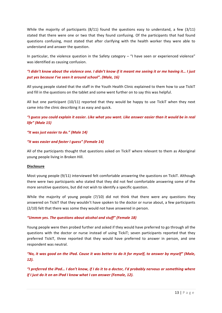While the majority of participants (8/11) found the questions easy to understand, a few  $(3/11)$ stated that there were one or two that they found confusing. Of the participants that had found questions confusing, most stated that after clarifying with the health worker they were able to understand and answer the question.

In particular, the violence question in the Safety category  $-$  "I have seen or experienced violence" was identified as causing confusion.

## "I didn't know about the violence one. I didn't know if it meant me seeing it or me having it... I just put yes because I've seen it around school". (Male, 16)

All young people stated that the staff in the Youth Health Clinic explained to them how to use TickiT and fill in the questions on the tablet and some went further on to say this was helpful.

All but one participant  $(10/11)$  reported that they would be happy to use TickiT when they next came into the clinic describing it as easy and quick.

"I guess you could explain it easier. Like what you want. Like answer easier than it would be in real *life" (Male 15)*

#### "It was just easier to do." (Male 14)

#### *"It was easier and faster I guess" (Female 14)*

All of the participants thought that questions asked on TickiT where relevant to them as Aboriginal young people living in Broken Hill.

#### **Disclosure**

Most young people (9/11) interviewed felt comfortable answering the questions on TickiT. Although there were two participants who stated that they did not feel comfortable answering some of the more sensitive questions, but did not wish to identify a specific question.

While the majority of young people (7/10) did not think that there were any questions they answered on TickiT that they wouldn't have spoken to the doctor or nurse about, a few participants  $(2/10)$  felt that there was some they would not have answered in person.

#### *"Ummm yes. The questions about alcohol and stuff" (Female 18)*

Young people were then probed further and asked if they would have preferred to go through all the questions with the doctor or nurse instead of using TickiT; seven participants reported that they preferred TickiT, three reported that they would have preferred to answer in person, and one respondent was neutral.

"No, it was good on the iPad. Cause it was better to do it for myself, to answer by myself" (Male, *12).*

"I preferred the iPad... I don't know, if I do it to a doctor, I'd probably nervous or something where *if I* just do it on an iPad I know what I can answer (Female, 12).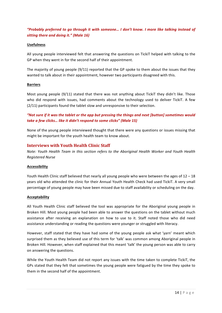## *"Probably preferred to go through it with someone… I don't know. I more like talking instead of*  sitting there and doing it." (Male 16)

#### **Usefulness**

All young people interviewed felt that answering the questions on TickiT helped with talking to the GP when they went in for the second half of their appointment.

The majority of young people  $(9/11)$  reported that the GP spoke to them about the issues that they wanted to talk about in their appointment, however two participants disagreed with this.

#### **Barriers**

Most young people  $(9/11)$  stated that there was not anything about TickiT they didn't like. Those who did respond with issues, had comments about the technology used to deliver TickiT. A few (2/11) participants found the tablet slow and unresponsive to their selection.

"Not sure if it was the tablet or the app but pressing the things and next [button] sometimes would *take a few clicks... like it didn't respond to some clicks"* (Male 15)

None of the young people interviewed thought that there were any questions or issues missing that might be important for the youth health team to know about.

#### **Interviews with Youth Health Clinic Staff**

*Note: Youth Health Team in this section refers to the Aboriginal Health Worker and Youth Health Registered Nurse*

#### **Accessibility**

Youth Health Clinic staff believed that nearly all young people who were between the ages of  $12 - 18$ years old who attended the clinic for their Annual Youth Health Check had used TickiT. A very small percentage of young people may have been missed due to staff availability or scheduling on the day.

#### **Acceptability**

All Youth Health Clinic staff believed the tool was appropriate for the Aboriginal young people in Broken Hill. Most young people had been able to answer the questions on the tablet without much assistance after receiving an explanation on how to use to it. Staff noted those who did need assistance understanding or reading the questions were younger or struggled with literacy.

However, staff stated that they have had some of the young people ask what 'yarn' meant which surprised them as they believed use of this term for 'talk' was common among Aboriginal people in Broken Hill. However, when staff explained that this meant 'talk' the young person was able to carry on answering the questions.

While the Youth Health Team did not report any issues with the time taken to complete TickiT, the GPs stated that they felt that sometimes the young people were fatigued by the time they spoke to them in the second half of the appointment.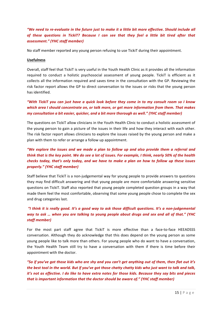## "We need to re-evaluate in the future just to make it a little bit more effective. Should include all of these questions in TickiT? Because I can see that they feel a little bit tired after that *assessment." (YHC staff member)*

No staff member reported any young person refusing to use TickiT during their appointment.

#### **Usefulness**

Overall, staff feel that TickiT is very useful in the Youth Health Clinic as it provides all the information required to conduct a holistic psychosocial assessment of young people. TickiT is efficient as it collects all the information required and saves time in the consultation with the GP. Reviewing the risk factor report allows the GP to direct conversation to the issues or risks that the young person has identified.

## *"With TickiT you can just have a quick look before they come in to my consult room so I know*  which area I should concentrate on, or talk more, or get more information from them. That makes *my consultation a bit easier, quicker, and a bit more thorough as well." (YHC staff member)*

The questions on TickiT allow clinicians in the Youth Health Clinic to conduct a holistic assessment of the young person to gain a picture of the issues in their life and how they interact with each other. The risk factor report allows clinicians to explore the issues raised by the young person and make a plan with them to refer or arrange a follow up appointment.

## "We explore the issues and we made a plan to follow up and also provide them a referral and *think* that is the key point. We do see a lot of issues. For example, I think, nearly 50% of the health *checks* today, that's only today, and we have to make a plan on how to follow up these issues *properly." (YHC staff member)*

Staff believe that TickiT is a non-judgemental way for young people to provide answers to questions they may find difficult answering and that young people are more comfortable answering sensitive questions on TickiT. Staff also reported that young people completed question groups in a way that made them feel the most comfortable, observing that some young people chose to complete the sex and drug categories last.

## *"I think it is really good. It's a good way to ask those difficult questions. It's a non-judgemental*  way to ask ... when you are talking to young people about drugs and sex and all of that." (YHC *staff member)*

For the most part staff agree that TickiT is more effective than a face-to-face HEEADSSS conversation. Although they do acknowledge that this does depend on the young person as some young people like to talk more than others. For young people who do want to have a conversation, the Youth Health Team still try to have a conversation with them if there is time before their appointment with the doctor.

"So if you've got those kids who are shy and you can't get anything out of them, then flat out it's *the best tool in the world. But if you've got those chatty chatty kids who just want to talk and talk, it's* not as effective. I do like to have extra notes for those kids. Because they say bits and pieces *that is important information that the doctor should be aware of." (YHC staff member)*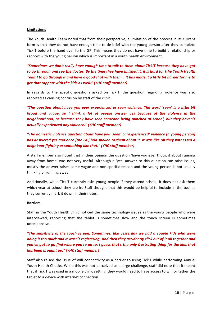#### **Limitations**

The Youth Health Team noted that from their perspective, a limitation of the process in its current form is that they do not have enough time to de-brief with the young person after they complete TickiT before the hand over to the GP. This means they do not have time to build a relationship or rapport with the young person which is important in a youth health environment.

"Sometimes we don't really have enough time to talk to them about TickiT because they have got to go through and see the doctor. By the time they have finished it, it is hard for [the Youth Health *Team]* to go through it and have a good chat with them... It has made it a little bit harder for me to *get that rapport with the kids as well."* (YHC staff member)

In regards to the specific questions asked on TickiT, the question regarding violence was also reported as causing confusion by staff of the clinic:

"The question about have you ever experienced or seen violence. The word 'seen' is a little bit *broad* and vague, so I think a lot of people answer yes because of the violence in the *neighbourhood, or because they have seen someone being punched at school, but they haven't actually experienced any violence." (YHC staff member)*

*"The domestic violence question about have you 'seen' or 'experienced' violence [a young person] has answered yes and once [the GP] had spoken to them about it, it was like oh they witnessed a neighbour fighting or something like that."* (YHC staff member)

A staff member also noted that in their opinion the question 'have you ever thought about running away from home' was not very useful. Although a 'yes' answer to this question can raise issues, mostly the answer raises some vague and non-specific reason and the young person is not usually thinking of running away.

Additionally, while TickiT currently asks young people if they attend school, it does not ask them which year at school they are in. Staff thought that this would be helpful to include in the tool as they currently mark it down in their notes.

#### **Barriers**

Staff in the Youth Health Clinic noticed the same technology issues as the young people who were interviewed, reporting that the tablet is sometimes slow and the touch screen is sometimes unresponsive. 

*"The sensitivity of the touch screen. Sometimes, like yesterday we had a couple kids who were doing* it too quick and it wasn't registering. And then they accidently click out of it all together and *you've got to go find where you're up to. I guess that's the only frustrating thing for the kids that* has been brought *up.*" (YHC staff member)

Staff also raised the issue of wifi connectivity as a barrier to using TickiT while performing Annual Youth Health Checks. While this was not perceived as a large challenge, staff did note that it meant that if TickiT was used in a mobile clinic setting, they would need to have access to wifi or tether the tablet to a device with internet connection.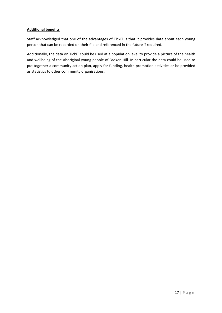#### **Additional benefits**

Staff acknowledged that one of the advantages of TickiT is that it provides data about each young person that can be recorded on their file and referenced in the future if required.

Additionally, the data on TickiT could be used at a population level to provide a picture of the health and wellbeing of the Aboriginal young people of Broken Hill. In particular the data could be used to put together a community action plan, apply for funding, health promotion activities or be provided as statistics to other community organisations.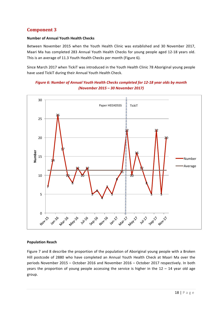## **Component 3**

#### **Number of Annual Youth Health Checks**

Between November 2015 when the Youth Health Clinic was established and 30 November 2017, Maari Ma has completed 283 Annual Youth Health Checks for young people aged 12-18 years old. This is an average of 11.3 Youth Health Checks per month (Figure 6).

Since March 2017 when TickiT was introduced in the Youth Health Clinic 78 Aboriginal young people have used TickiT during their Annual Youth Health Check.

## Figure 6: Number of Annual Youth Health Checks completed for 12-18 year olds by month *(November 2015 – 30 November 2017)*



#### **Population Reach**

Figure 7 and 8 describe the proportion of the population of Aboriginal young people with a Broken Hill postcode of 2880 who have completed an Annual Youth Health Check at Maari Ma over the periods November 2015 - October 2016 and November 2016 - October 2017 respectively. In both years the proportion of young people accessing the service is higher in the  $12 - 14$  year old age group.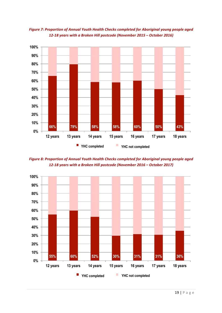

Figure 7: Proportion of Annual Youth Health Checks completed for Aboriginal young people aged *12-18 years with a Broken Hill postcode (November 2015 – October 2016)*

Figure 8: Proportion of Annual Youth Health Checks completed for Aboriginal young people aged *12-18 years with a Broken Hill postcode (November 2016 – October 2017)*

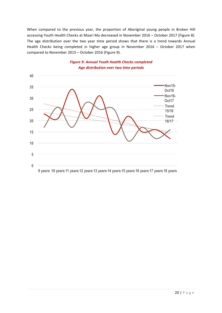When compared to the previous year, the proportion of Aboriginal young people in Broken Hill accessing Youth Health Checks at Maari Ma decreased in November 2016 - October 2017 (Figure 8). The age distribution over the two year time period shows that there is a trend towards Annual Health Checks being completed in higher age group in November 2016 - October 2017 when compared to November 2015 – October 2016 (Figure 9).



## *Figure 9: Annual Youth Health Checks completed Age distribution over two time periods*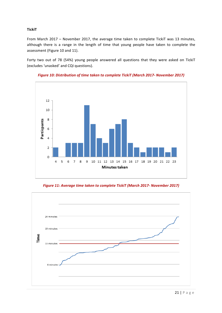#### **TickiT**

From March 2017 - November 2017, the average time taken to complete TickiT was 13 minutes, although there is a range in the length of time that young people have taken to complete the assessment (Figure 10 and 11).

Forty two out of 78 (54%) young people answered all questions that they were asked on TickiT (excludes 'unasked' and CQI questions).





**Figure 11: Average time taken to complete TickiT (March 2017- November 2017)** 

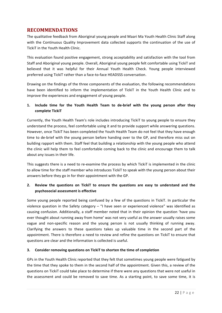## **RECOMMENDATIONS**

The qualitative feedback from Aboriginal young people and Maari Ma Youth Health Clinic Staff along with the Continuous Quality Improvement data collected supports the continuation of the use of TickiT in the Youth Health Clinic.

This evaluation found positive engagement, strong acceptability and satisfaction with the tool from Staff and Aboriginal young people. Overall, Aboriginal young people felt comfortable using TickiT and believed that it was helpful for their Annual Youth Health Check. Young people interviewed preferred using TickiT rather than a face-to-face HEADSSS conversation.

Drawing on the findings of the three components of the evaluation, the following recommendations have been identified to inform the implementation of TickiT in the Youth Health Clinic and to improve the experiences and engagement of young people.

## **1.** Include time for the Youth Health Team to de-brief with the young person after they **complete TickiT**

Currently, the Youth Health Team's role includes introducing TickiT to young people to ensure they understand the process, feel comfortable using it and to provide support while answering questions. However, once TickiT has been completed the Youth Health Team do not feel that they have enough time to de-brief with the young person before handing over to the GP, and therefore miss out on building rapport with them. Staff feel that building a relationship with the young people who attend the clinic will help them to feel comfortable coming back to the clinic and encourage them to talk about any issues in their life.

This suggests there is a need to re-examine the process by which TickiT is implemented in the clinic to allow time for the staff member who introduces TickiT to speak with the young person about their answers before they go in for their appointment with the GP.

## **2.** Review the questions on TickiT to ensure the questions are easy to understand and the **psychosocial assessment is effective**

Some young people reported being confused by a few of the questions in TickiT. In particular the violence question in the Safety category – "I have seen or experienced violence" was identified as causing confusion. Additionally, a staff member noted that in their opinion the question 'have you ever thought about running away from home' was not very useful as the answer usually raises some vague and non-specific reason and the young person is not usually thinking of running away. Clarifying the answers to these questions takes up valuable time in the second part of the appointment. There is therefore a need to review and refine the questions on TickiT to ensure that questions are clear and the information is collected is useful.

#### **3.** Consider removing questions on TickiT to shorten the time of completion

GPs in the Youth Health Clinic reported that they felt that sometimes young people were fatigued by the time that they spoke to them in the second half of the appointment. Given this, a review of the questions on TickiT could take place to determine if there were any questions that were not useful in the assessment and could be removed to save time. As a starting point, to save some time, it is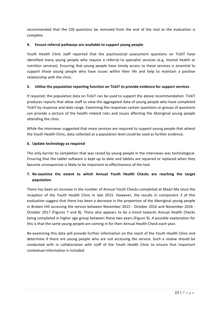recommended that the CQI questions be removed from the end of the tool as the evaluation is complete.

#### **4.** Ensure referral pathways are available to support young people

Youth Health Clinic staff reported that the psychosocial assessment questions on TickiT have identified many young people who require a referral to specialist services (e.g. mental health or nutrition services). Ensuring that young people have timely access to these services is essential to support those young people who have issues within their life and help to maintain a positive relationship with the clinic.

#### **5.** Utilise the population reporting function on TickiT to provide evidence for support services

If required, the population data on TickiT can be used to support the above recommendation. TickiT produces reports that allow staff to view the aggregated data of young people who have completed TickiT by response and date range. Examining the responses certain questions or groups of questions can provide a picture of the health related risks and issues affecting the Aboriginal young people attending the clinic.

While the interviews suggested that more services are required to support young people that attend the Youth Health Clinic, data collected at a population level could be used as further evidence. 

#### **6. Update technology as required**

The only barrier to completion that was raised by young people in the interviews was technological. Ensuring that the tablet software is kept up to date and tablets are repaired or replaced when they become unresponsive is likely to be important to effectiveness of the tool.

## **7. Re-examine the extent to which Annual Youth Health Checks are reaching the target population.**

There has been an increase in the number of Annual Youth Checks completed at Maari Ma since the inception of the Youth Health Clinic in late 2015. However, the results in component 3 of this evaluation suggest that there has been a decrease in the proportion of the Aboriginal young people in Broken Hill accessing the service between November 2015 - October 2016 and November 2016 -October 2017 (Figures 7 and 8). There also appears to be a trend towards Annual Health Checks being completed in higher age group between these two years (Figure 9). A possible explanation for this is that the same young people are coming in for their Annual Health Check each year.

Re-examining this data will provide further information on the reach of the Youth Health Clinic and determine if there are young people who are not accessing the service. Such a review should be conducted with in collaboration with staff of the Youth Health Clinic to ensure that important contextual information is included.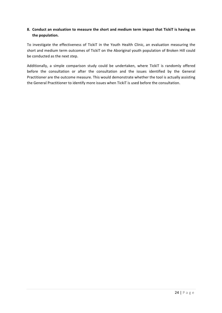#### 8. Conduct an evaluation to measure the short and medium term impact that TickiT is having on the population.

To investigate the effectiveness of TickiT in the Youth Health Clinic, an evaluation measuring the short and medium term outcomes of TickiT on the Aboriginal youth population of Broken Hill could be conducted as the next step.

Additionally, a simple comparison study could be undertaken, where TickiT is randomly offered before the consultation or after the consultation and the issues identified by the General Practitioner are the outcome measure. This would demonstrate whether the tool is actually assisting the General Practitioner to identify more issues when TickiT is used before the consultation.